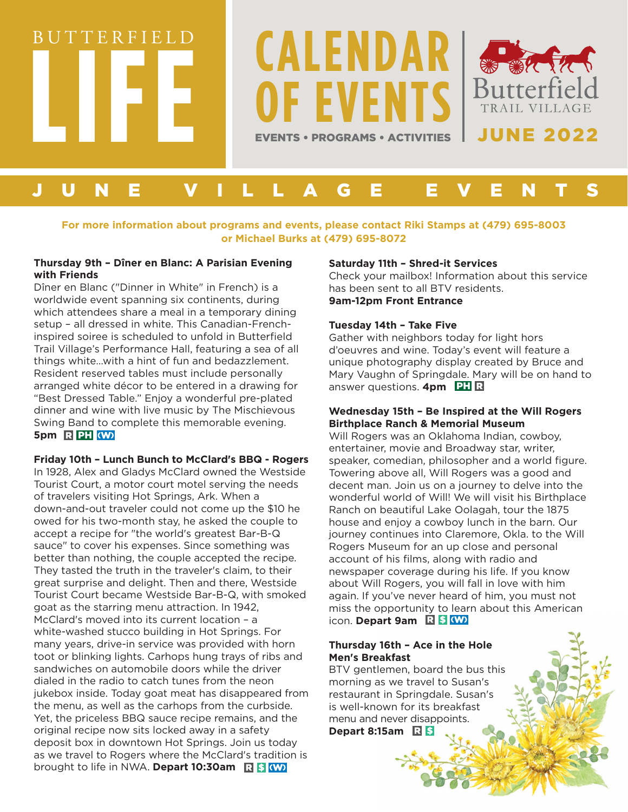

# **For more information about programs and events, please contact Riki Stamps at (479) 695-8003 or Michael Burks at (479) 695-8072**

#### **Thursday 9th – Dîner en Blanc: A Parisian Evening with Friends**

Dîner en Blanc ("Dinner in White" in French) is a worldwide event spanning six continents, during which attendees share a meal in a temporary dining setup – all dressed in white. This Canadian-Frenchinspired soiree is scheduled to unfold in Butterfield Trail Village's Performance Hall, featuring a sea of all things white…with a hint of fun and bedazzlement. Resident reserved tables must include personally arranged white décor to be entered in a drawing for "Best Dressed Table." Enjoy a wonderful pre-plated dinner and wine with live music by The Mischievous Swing Band to complete this memorable evening. 5pm R**PH** 

# **Friday 10th – Lunch Bunch to McClard's BBQ - Rogers**

In 1928, Alex and Gladys McClard owned the Westside Tourist Court, a motor court motel serving the needs of travelers visiting Hot Springs, Ark. When a down-and-out traveler could not come up the \$10 he owed for his two-month stay, he asked the couple to accept a recipe for "the world's greatest Bar-B-Q sauce" to cover his expenses. Since something was better than nothing, the couple accepted the recipe. They tasted the truth in the traveler's claim, to their great surprise and delight. Then and there, Westside Tourist Court became Westside Bar-B-Q, with smoked goat as the starring menu attraction. In 1942, McClard's moved into its current location – a white-washed stucco building in Hot Springs. For many years, drive-in service was provided with horn toot or blinking lights. Carhops hung trays of ribs and sandwiches on automobile doors while the driver dialed in the radio to catch tunes from the neon jukebox inside. Today goat meat has disappeared from the menu, as well as the carhops from the curbside. Yet, the priceless BBQ sauce recipe remains, and the original recipe now sits locked away in a safety deposit box in downtown Hot Springs. Join us today as we travel to Rogers where the McClard's tradition is brought to life in NWA. **Depart 10:30am**

#### **Saturday 11th – Shred-it Services**

Check your mailbox! Information about this service has been sent to all BTV residents. **9am-12pm Front Entrance**

## **Tuesday 14th – Take Five**

Gather with neighbors today for light hors d'oeuvres and wine. Today's event will feature a unique photography display created by Bruce and Mary Vaughn of Springdale. Mary will be on hand to answer questions. **4pm** PH

## **Wednesday 15th – Be Inspired at the Will Rogers Birthplace Ranch & Memorial Museum**

Will Rogers was an Oklahoma Indian, cowboy, entertainer, movie and Broadway star, writer, speaker, comedian, philosopher and a world figure. Towering above all, Will Rogers was a good and decent man. Join us on a journey to delve into the wonderful world of Will! We will visit his Birthplace Ranch on beautiful Lake Oolagah, tour the 1875 house and enjoy a cowboy lunch in the barn. Our journey continues into Claremore, Okla. to the Will Rogers Museum for an up close and personal account of his films, along with radio and newspaper coverage during his life. If you know about Will Rogers, you will fall in love with him again. If you've never heard of him, you must not miss the opportunity to learn about this American icon. Depart 9am **R** \$ (W)

# **Thursday 16th – Ace in the Hole Men's Breakfast**

BTV gentlemen, board the bus this morning as we travel to Susan's restaurant in Springdale. Susan's is well-known for its breakfast menu and never disappoints. **Depart 8:15am**